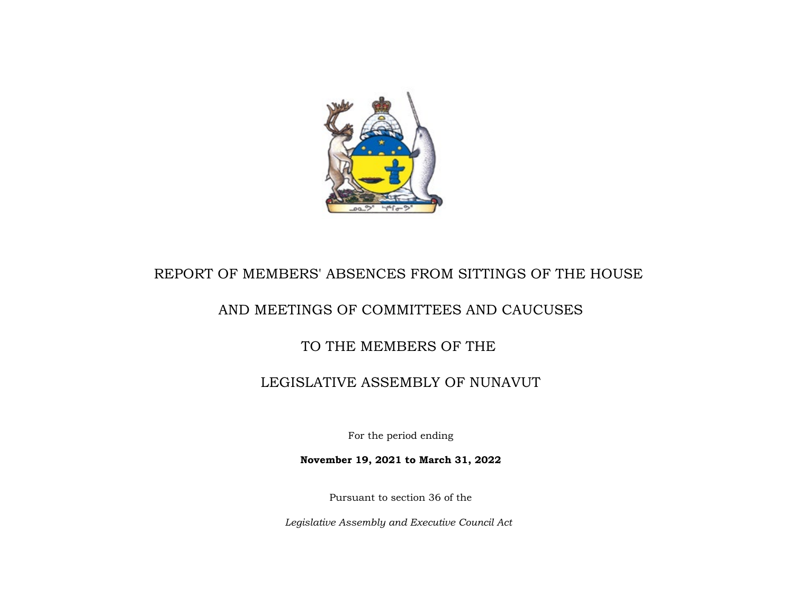

# REPORT OF MEMBERS' ABSENCES FROM SITTINGS OF THE HOUSE

## AND MEETINGS OF COMMITTEES AND CAUCUSES

## TO THE MEMBERS OF THE

## LEGISLATIVE ASSEMBLY OF NUNAVUT

For the period ending

**November 19, 2021 to March 31, 2022**

Pursuant to section 36 of the

*Legislative Assembly and Executive Council Act*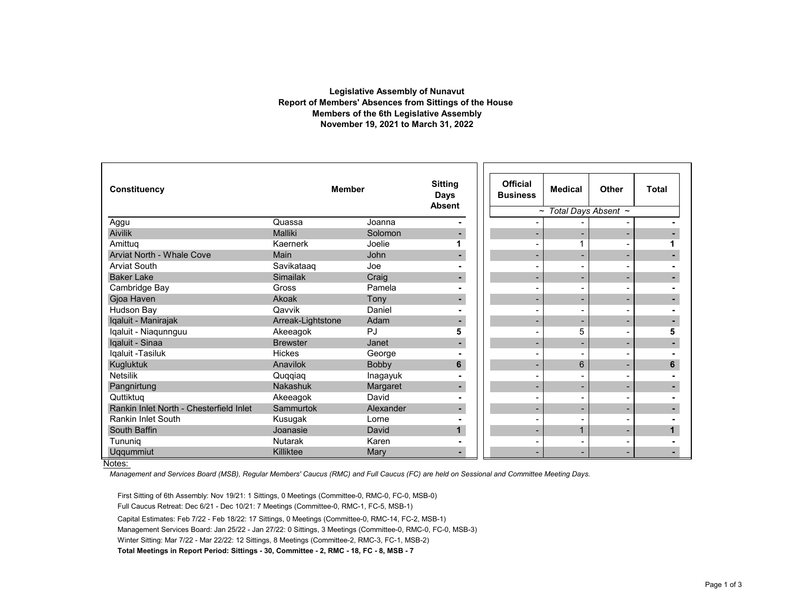### **Report of Members' Absences from Sittings of the House Members of the 6th Legislative Assembly November 19, 2021 to March 31, 2022 Legislative Assembly of Nunavut**

| Constituency                            | <b>Member</b>     |           | <b>Sitting</b><br><b>Days</b><br><b>Absent</b> | <b>Official</b><br><b>Business</b> | <b>Medical</b> | Other | <b>Total</b> |  |
|-----------------------------------------|-------------------|-----------|------------------------------------------------|------------------------------------|----------------|-------|--------------|--|
|                                         |                   |           | Total Days Absent ~<br>$\tilde{\phantom{a}}$   |                                    |                |       |              |  |
| Aggu                                    | Quassa            | Joanna    |                                                |                                    |                |       |              |  |
| <b>Aivilik</b>                          | Malliki           | Solomon   |                                                |                                    |                | ٠     |              |  |
| Amittug                                 | Kaernerk          | Joelie    |                                                |                                    |                |       |              |  |
| Arviat North - Whale Cove               | Main              | John      |                                                |                                    |                | ٠     |              |  |
| <b>Arviat South</b>                     | Savikataag        | Joe       |                                                |                                    |                |       |              |  |
| <b>Baker Lake</b>                       | <b>Simailak</b>   | Craig     |                                                |                                    |                | -     |              |  |
| Cambridge Bay                           | Gross             | Pamela    |                                                |                                    |                |       |              |  |
| Gjoa Haven                              | Akoak             | Tony      |                                                |                                    |                | ٠     |              |  |
| Hudson Bay                              | Qavvik            | Daniel    |                                                |                                    |                |       |              |  |
| Iqaluit - Manirajak                     | Arreak-Lightstone | Adam      |                                                |                                    |                | ۰.    |              |  |
| Iqaluit - Niaqunnguu                    | Akeeagok          | PJ        | 5                                              |                                    | 5              |       | 5            |  |
| Iqaluit - Sinaa                         | <b>Brewster</b>   | Janet     |                                                |                                    |                | ٠     |              |  |
| Iqaluit -Tasiluk                        | <b>Hickes</b>     | George    |                                                |                                    |                |       |              |  |
| Kugluktuk                               | Anavilok          | Bobby     | 6                                              |                                    | 6              | -     | 6            |  |
| <b>Netsilik</b>                         | Quqqiaq           | Inagayuk  |                                                |                                    |                |       |              |  |
| Pangnirtung                             | Nakashuk          | Margaret  | ٠                                              |                                    |                | -     |              |  |
| Quttiktuq                               | Akeeagok          | David     |                                                |                                    |                |       |              |  |
| Rankin Inlet North - Chesterfield Inlet | Sammurtok         | Alexander |                                                |                                    |                |       |              |  |
| Rankin Inlet South                      | Kusugak           | Lorne     |                                                |                                    |                |       |              |  |
| South Baffin                            | Joanasie          | David     |                                                |                                    |                | ٠     |              |  |
| Tununia                                 | <b>Nutarak</b>    | Karen     |                                                |                                    |                |       |              |  |
| Uqqummiut                               | Killiktee         | Mary      |                                                |                                    |                |       |              |  |

#### Notes:

*Management and Services Board (MSB), Regular Members' Caucus (RMC) and Full Caucus (FC) are held on Sessional and Committee Meeting Days.* 

First Sitting of 6th Assembly: Nov 19/21: 1 Sittings, 0 Meetings (Committee-0, RMC-0, FC-0, MSB-0) Full Caucus Retreat: Dec 6/21 - Dec 10/21: 7 Meetings (Committee-0, RMC-1, FC-5, MSB-1) Capital Estimates: Feb 7/22 - Feb 18/22: 17 Sittings, 0 Meetings (Committee-0, RMC-14, FC-2, MSB-1) Management Services Board: Jan 25/22 - Jan 27/22: 0 Sittings, 3 Meetings (Committee-0, RMC-0, FC-0, MSB-3) Winter Sitting: Mar 7/22 - Mar 22/22: 12 Sittings, 8 Meetings (Committee-2, RMC-3, FC-1, MSB-2) **Total Meetings in Report Period: Sittings - 30, Committee - 2, RMC - 18, FC - 8, MSB - 7**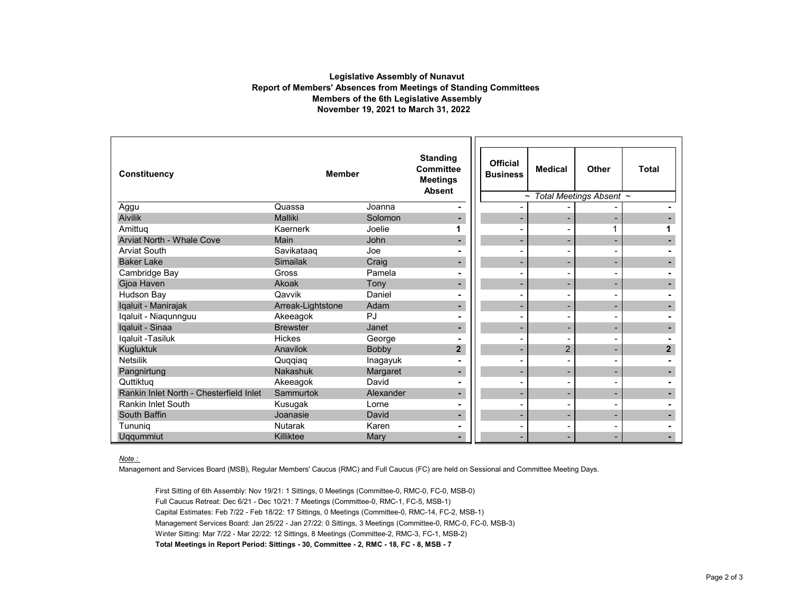### **Legislative Assembly of Nunavut Report of Members' Absences from Meetings of Standing Committees Members of the 6th Legislative Assembly November 19, 2021 to March 31, 2022**

| <b>Constituency</b>                     | <b>Member</b>     |           | <b>Standing</b><br><b>Committee</b><br><b>Meetings</b><br><b>Absent</b> | <b>Official</b><br><b>Business</b> | <b>Medical</b>           | Other                    | <b>Total</b>   |
|-----------------------------------------|-------------------|-----------|-------------------------------------------------------------------------|------------------------------------|--------------------------|--------------------------|----------------|
|                                         |                   |           |                                                                         | $\tilde{\phantom{a}}$              | Total Meetings Absent ~  |                          |                |
| Aggu                                    | Quassa            | Joanna    |                                                                         |                                    |                          |                          |                |
| <b>Aivilik</b>                          | Malliki           | Solomon   |                                                                         |                                    |                          |                          |                |
| Amittuq                                 | Kaernerk          | Joelie    |                                                                         |                                    |                          | 1                        |                |
| Arviat North - Whale Cove               | Main              | John      |                                                                         |                                    | -                        |                          |                |
| <b>Arviat South</b>                     | Savikataaq        | Joe       |                                                                         |                                    |                          | $\overline{\phantom{0}}$ |                |
| <b>Baker Lake</b>                       | Simailak          | Craig     |                                                                         |                                    | -                        | $\overline{\phantom{0}}$ |                |
| Cambridge Bay                           | Gross             | Pamela    |                                                                         |                                    |                          |                          |                |
| Gjoa Haven                              | Akoak             | Tony      |                                                                         |                                    |                          |                          |                |
| Hudson Bay                              | Qavvik            | Daniel    |                                                                         |                                    |                          |                          |                |
| Iqaluit - Manirajak                     | Arreak-Lightstone | Adam      |                                                                         | -                                  | $\overline{\phantom{0}}$ | $\overline{\phantom{a}}$ |                |
| Iqaluit - Niaqunnguu                    | Akeeagok          | PJ        |                                                                         |                                    |                          |                          |                |
| Iqaluit - Sinaa                         | <b>Brewster</b>   | Janet     |                                                                         | -                                  | -                        | $\overline{\phantom{0}}$ |                |
| Iqaluit -Tasiluk                        | <b>Hickes</b>     | George    |                                                                         |                                    |                          |                          |                |
| Kugluktuk                               | Anavilok          | Bobby     | $\overline{\mathbf{2}}$                                                 |                                    | $\overline{c}$           |                          | $\overline{2}$ |
| <b>Netsilik</b>                         | Quqqiaq           | Inagayuk  |                                                                         |                                    |                          |                          |                |
| Pangnirtung                             | Nakashuk          | Margaret  |                                                                         |                                    | -                        | $\overline{\phantom{0}}$ |                |
| Quttiktug                               | Akeeagok          | David     |                                                                         |                                    |                          |                          |                |
| Rankin Inlet North - Chesterfield Inlet | Sammurtok         | Alexander |                                                                         |                                    | -                        | $\overline{\phantom{0}}$ |                |
| <b>Rankin Inlet South</b>               | Kusugak           | Lorne     |                                                                         |                                    | -                        |                          |                |
| South Baffin                            | Joanasie          | David     |                                                                         | ۰                                  |                          | $\overline{\phantom{0}}$ |                |
| Tununig                                 | <b>Nutarak</b>    | Karen     |                                                                         |                                    |                          |                          |                |
| Uqqummiut                               | Killiktee         | Mary      |                                                                         |                                    | -                        |                          |                |

#### *Note :*

Management and Services Board (MSB), Regular Members' Caucus (RMC) and Full Caucus (FC) are held on Sessional and Committee Meeting Days.

First Sitting of 6th Assembly: Nov 19/21: 1 Sittings, 0 Meetings (Committee-0, RMC-0, FC-0, MSB-0) Full Caucus Retreat: Dec 6/21 - Dec 10/21: 7 Meetings (Committee-0, RMC-1, FC-5, MSB-1) Capital Estimates: Feb 7/22 - Feb 18/22: 17 Sittings, 0 Meetings (Committee-0, RMC-14, FC-2, MSB-1) Management Services Board: Jan 25/22 - Jan 27/22: 0 Sittings, 3 Meetings (Committee-0, RMC-0, FC-0, MSB-3) Winter Sitting: Mar 7/22 - Mar 22/22: 12 Sittings, 8 Meetings (Committee-2, RMC-3, FC-1, MSB-2) **Total Meetings in Report Period: Sittings - 30, Committee - 2, RMC - 18, FC - 8, MSB - 7**